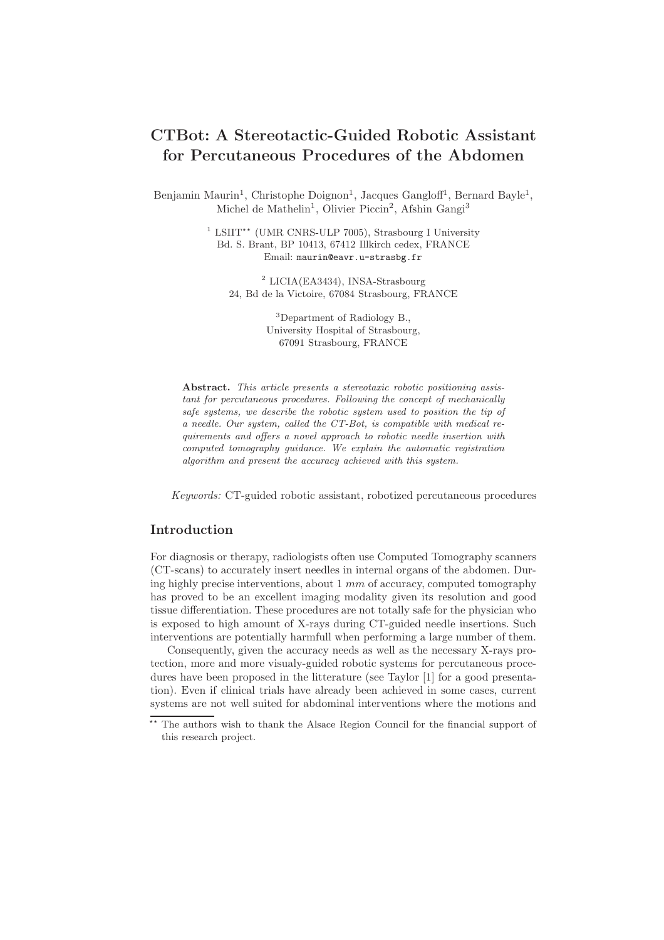# CTBot: A Stereotactic-Guided Robotic Assistant for Percutaneous Procedures of the Abdomen

Benjamin Maurin<sup>1</sup>, Christophe Doignon<sup>1</sup>, Jacques Gangloff<sup>1</sup>, Bernard Bayle<sup>1</sup>, Michel de Mathelin<sup>1</sup>, Olivier Piccin<sup>2</sup>, Afshin Gangi<sup>3</sup>

> <sup>1</sup> LSIIT<sup>\*\*</sup> (UMR CNRS-ULP 7005), Strasbourg I University Bd. S. Brant, BP 10413, 67412 Illkirch cedex, FRANCE Email: maurin@eavr.u-strasbg.fr

<sup>2</sup> LICIA(EA3434), INSA-Strasbourg 24, Bd de la Victoire, 67084 Strasbourg, FRANCE

> <sup>3</sup>Department of Radiology B., University Hospital of Strasbourg, 67091 Strasbourg, FRANCE

Abstract. This article presents a stereotaxic robotic positioning assistant for percutaneous procedures. Following the concept of mechanically safe systems, we describe the robotic system used to position the tip of a needle. Our system, called the CT-Bot, is compatible with medical requirements and offers a novel approach to robotic needle insertion with computed tomography guidance. We explain the automatic registration algorithm and present the accuracy achieved with this system.

*Keywords:* CT-guided robotic assistant, robotized percutaneous procedures

#### Introduction

For diagnosis or therapy, radiologists often use Computed Tomography scanners (CT-scans) to accurately insert needles in internal organs of the abdomen. During highly precise interventions, about  $1 \, mm$  of accuracy, computed tomography has proved to be an excellent imaging modality given its resolution and good tissue differentiation. These procedures are not totally safe for the physician who is exposed to high amount of X-rays during CT-guided needle insertions. Such interventions are potentially harmfull when performing a large number of them.

Consequently, given the accuracy needs as well as the necessary X-rays protection, more and more visualy-guided robotic systems for percutaneous procedures have been proposed in the litterature (see Taylor [1] for a good presentation). Even if clinical trials have already been achieved in some cases, current systems are not well suited for abdominal interventions where the motions and

<sup>\*\*</sup> The authors wish to thank the Alsace Region Council for the financial support of this research project.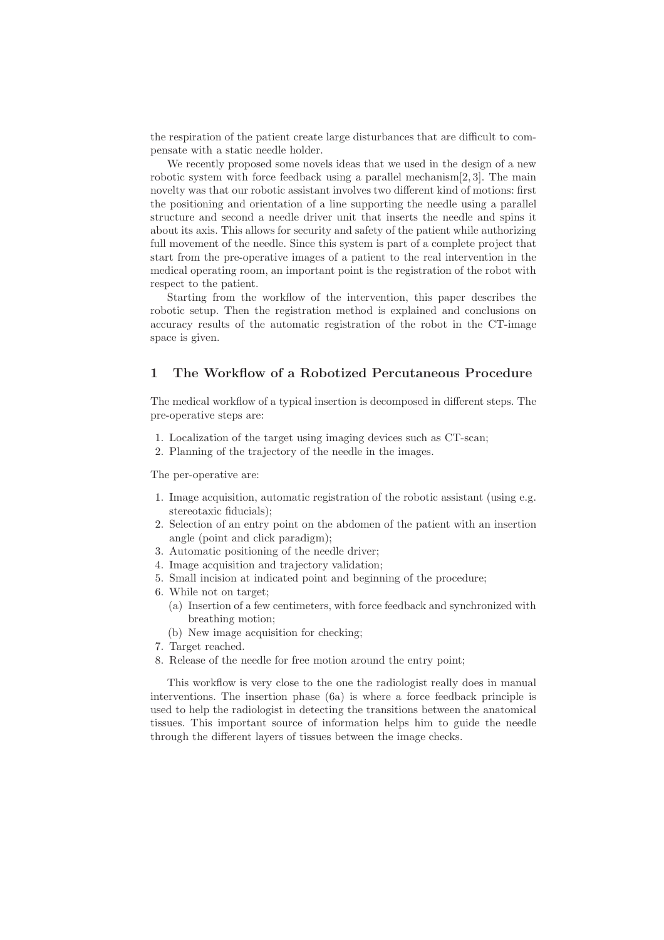the respiration of the patient create large disturbances that are difficult to compensate with a static needle holder.

We recently proposed some novels ideas that we used in the design of a new robotic system with force feedback using a parallel mechanism[2, 3]. The main novelty was that our robotic assistant involves two different kind of motions: first the positioning and orientation of a line supporting the needle using a parallel structure and second a needle driver unit that inserts the needle and spins it about its axis. This allows for security and safety of the patient while authorizing full movement of the needle. Since this system is part of a complete project that start from the pre-operative images of a patient to the real intervention in the medical operating room, an important point is the registration of the robot with respect to the patient.

Starting from the workflow of the intervention, this paper describes the robotic setup. Then the registration method is explained and conclusions on accuracy results of the automatic registration of the robot in the CT-image space is given.

## 1 The Workflow of a Robotized Percutaneous Procedure

The medical workflow of a typical insertion is decomposed in different steps. The pre-operative steps are:

- 1. Localization of the target using imaging devices such as CT-scan;
- 2. Planning of the trajectory of the needle in the images.

The per-operative are:

- 1. Image acquisition, automatic registration of the robotic assistant (using e.g. stereotaxic fiducials);
- 2. Selection of an entry point on the abdomen of the patient with an insertion angle (point and click paradigm);
- 3. Automatic positioning of the needle driver;
- 4. Image acquisition and trajectory validation;
- 5. Small incision at indicated point and beginning of the procedure;
- 6. While not on target;
	- (a) Insertion of a few centimeters, with force feedback and synchronized with breathing motion;
	- (b) New image acquisition for checking;
- 7. Target reached.
- 8. Release of the needle for free motion around the entry point;

This workflow is very close to the one the radiologist really does in manual interventions. The insertion phase (6a) is where a force feedback principle is used to help the radiologist in detecting the transitions between the anatomical tissues. This important source of information helps him to guide the needle through the different layers of tissues between the image checks.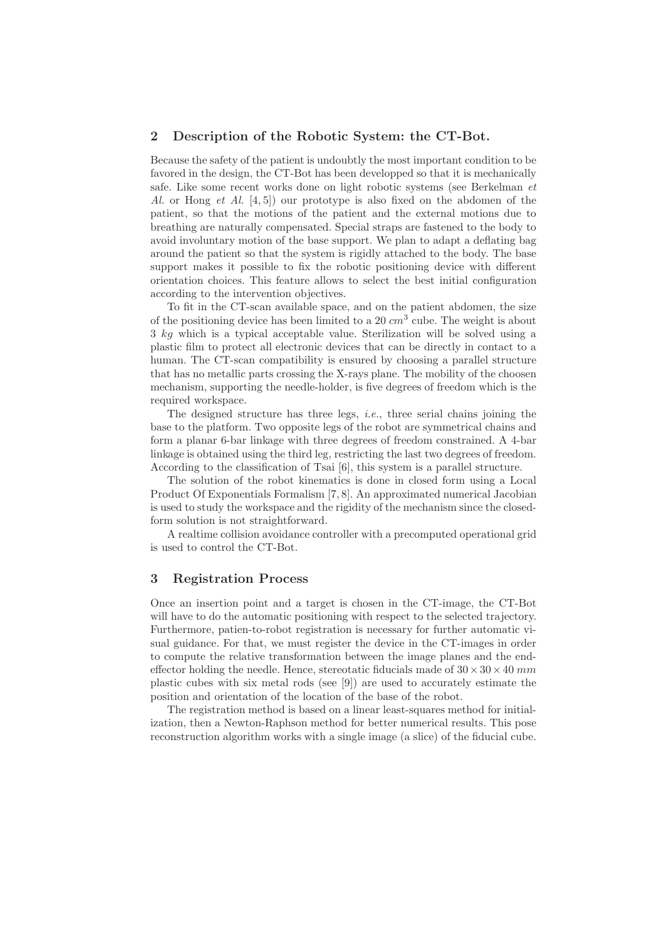#### 2 Description of the Robotic System: the CT-Bot.

Because the safety of the patient is undoubtly the most important condition to be favored in the design, the CT-Bot has been developped so that it is mechanically safe. Like some recent works done on light robotic systems (see Berkelman *et Al.* or Hong *et Al.* [4, 5]) our prototype is also fixed on the abdomen of the patient, so that the motions of the patient and the external motions due to breathing are naturally compensated. Special straps are fastened to the body to avoid involuntary motion of the base support. We plan to adapt a deflating bag around the patient so that the system is rigidly attached to the body. The base support makes it possible to fix the robotic positioning device with different orientation choices. This feature allows to select the best initial configuration according to the intervention objectives.

To fit in the CT-scan available space, and on the patient abdomen, the size of the positioning device has been limited to a 20  $cm^3$  cube. The weight is about 3 kg which is a typical acceptable value. Sterilization will be solved using a plastic film to protect all electronic devices that can be directly in contact to a human. The CT-scan compatibility is ensured by choosing a parallel structure that has no metallic parts crossing the X-rays plane. The mobility of the choosen mechanism, supporting the needle-holder, is five degrees of freedom which is the required workspace.

The designed structure has three legs, *i.e.*, three serial chains joining the base to the platform. Two opposite legs of the robot are symmetrical chains and form a planar 6-bar linkage with three degrees of freedom constrained. A 4-bar linkage is obtained using the third leg, restricting the last two degrees of freedom. According to the classification of Tsai [6], this system is a parallel structure.

The solution of the robot kinematics is done in closed form using a Local Product Of Exponentials Formalism [7, 8]. An approximated numerical Jacobian is used to study the workspace and the rigidity of the mechanism since the closedform solution is not straightforward.

A realtime collision avoidance controller with a precomputed operational grid is used to control the CT-Bot.

### 3 Registration Process

Once an insertion point and a target is chosen in the CT-image, the CT-Bot will have to do the automatic positioning with respect to the selected trajectory. Furthermore, patien-to-robot registration is necessary for further automatic visual guidance. For that, we must register the device in the CT-images in order to compute the relative transformation between the image planes and the endeffector holding the needle. Hence, stereotatic fiducials made of  $30 \times 30 \times 40$  mm plastic cubes with six metal rods (see [9]) are used to accurately estimate the position and orientation of the location of the base of the robot.

The registration method is based on a linear least-squares method for initialization, then a Newton-Raphson method for better numerical results. This pose reconstruction algorithm works with a single image (a slice) of the fiducial cube.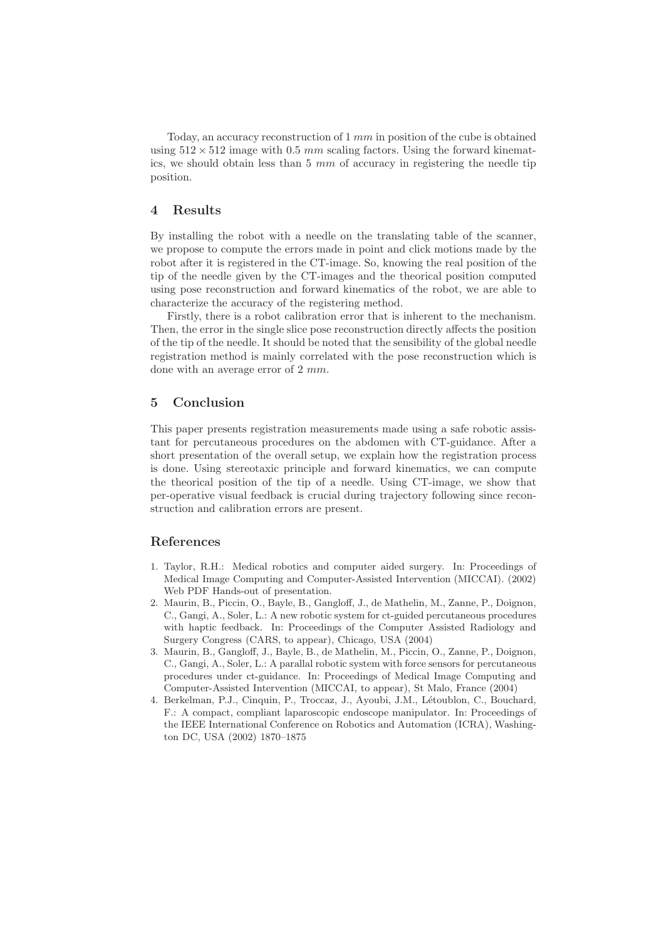Today, an accuracy reconstruction of  $1 \, mm$  in position of the cube is obtained using  $512 \times 512$  image with 0.5 mm scaling factors. Using the forward kinematics, we should obtain less than  $5 \, mm$  of accuracy in registering the needle tip position.

#### 4 Results

By installing the robot with a needle on the translating table of the scanner, we propose to compute the errors made in point and click motions made by the robot after it is registered in the CT-image. So, knowing the real position of the tip of the needle given by the CT-images and the theorical position computed using pose reconstruction and forward kinematics of the robot, we are able to characterize the accuracy of the registering method.

Firstly, there is a robot calibration error that is inherent to the mechanism. Then, the error in the single slice pose reconstruction directly affects the position of the tip of the needle. It should be noted that the sensibility of the global needle registration method is mainly correlated with the pose reconstruction which is done with an average error of  $2 \, mm$ .

## 5 Conclusion

This paper presents registration measurements made using a safe robotic assistant for percutaneous procedures on the abdomen with CT-guidance. After a short presentation of the overall setup, we explain how the registration process is done. Using stereotaxic principle and forward kinematics, we can compute the theorical position of the tip of a needle. Using CT-image, we show that per-operative visual feedback is crucial during trajectory following since reconstruction and calibration errors are present.

## References

- 1. Taylor, R.H.: Medical robotics and computer aided surgery. In: Proceedings of Medical Image Computing and Computer-Assisted Intervention (MICCAI). (2002) Web PDF Hands-out of presentation.
- 2. Maurin, B., Piccin, O., Bayle, B., Gangloff, J., de Mathelin, M., Zanne, P., Doignon, C., Gangi, A., Soler, L.: A new robotic system for ct-guided percutaneous procedures with haptic feedback. In: Proceedings of the Computer Assisted Radiology and Surgery Congress (CARS, to appear), Chicago, USA (2004)
- 3. Maurin, B., Gangloff, J., Bayle, B., de Mathelin, M., Piccin, O., Zanne, P., Doignon, C., Gangi, A., Soler, L.: A parallal robotic system with force sensors for percutaneous procedures under ct-guidance. In: Proceedings of Medical Image Computing and Computer-Assisted Intervention (MICCAI, to appear), St Malo, France (2004)
- 4. Berkelman, P.J., Cinquin, P., Troccaz, J., Ayoubi, J.M., Létoublon, C., Bouchard, F.: A compact, compliant laparoscopic endoscope manipulator. In: Proceedings of the IEEE International Conference on Robotics and Automation (ICRA), Washington DC, USA (2002) 1870–1875